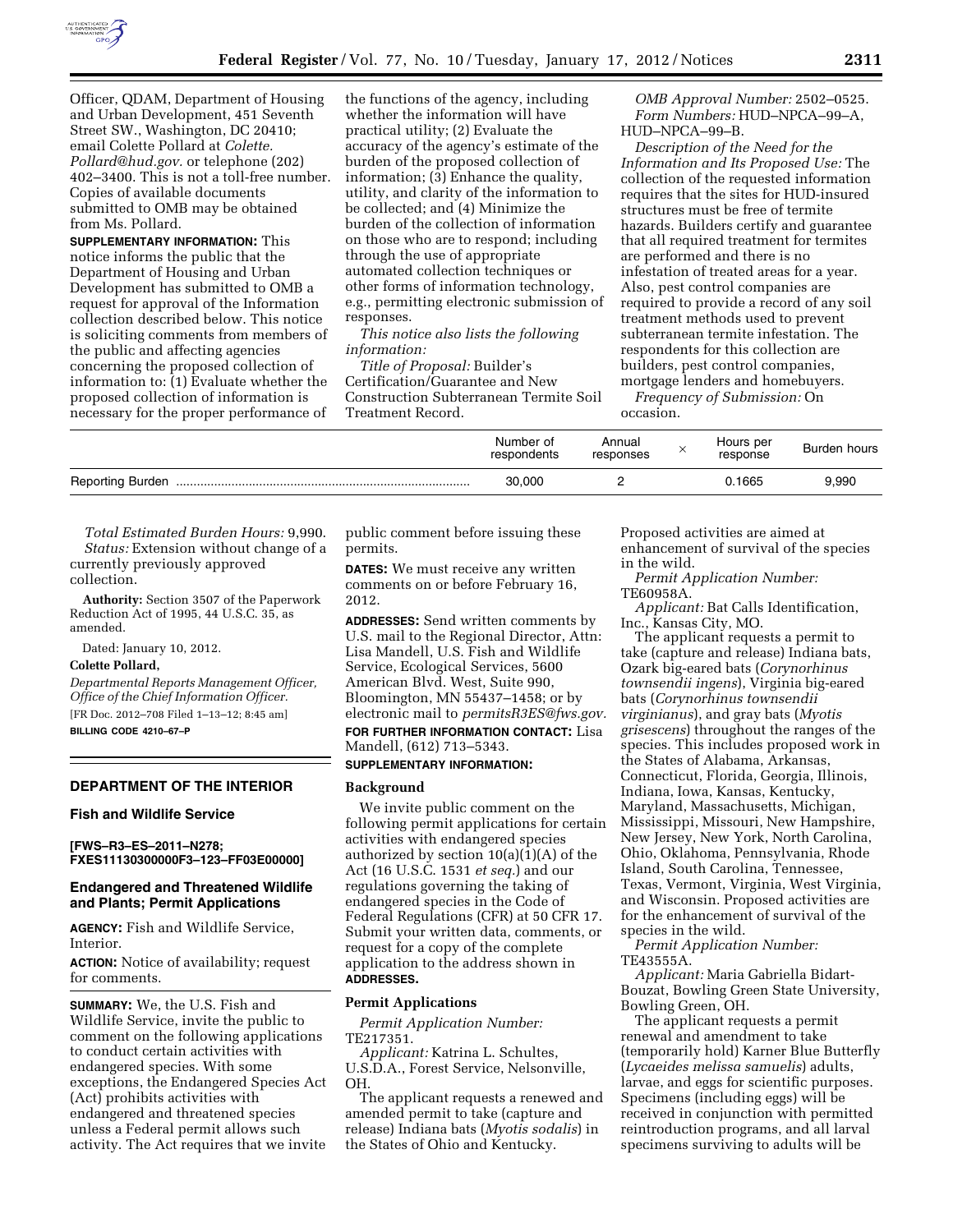

Officer, QDAM, Department of Housing and Urban Development, 451 Seventh Street SW., Washington, DC 20410; email Colette Pollard at *[Colette.](mailto:Colette.Pollard@hud.gov)  [Pollard@hud.gov.](mailto:Colette.Pollard@hud.gov)* or telephone (202) 402–3400. This is not a toll-free number. Copies of available documents submitted to OMB may be obtained from Ms. Pollard.

**SUPPLEMENTARY INFORMATION:** This notice informs the public that the Department of Housing and Urban Development has submitted to OMB a request for approval of the Information collection described below. This notice is soliciting comments from members of the public and affecting agencies concerning the proposed collection of information to: (1) Evaluate whether the proposed collection of information is necessary for the proper performance of

the functions of the agency, including whether the information will have practical utility; (2) Evaluate the accuracy of the agency's estimate of the burden of the proposed collection of information; (3) Enhance the quality, utility, and clarity of the information to be collected; and (4) Minimize the burden of the collection of information on those who are to respond; including through the use of appropriate automated collection techniques or other forms of information technology, e.g., permitting electronic submission of responses.

*This notice also lists the following information:* 

*Title of Proposal:* Builder's Certification/Guarantee and New Construction Subterranean Termite Soil Treatment Record.

*OMB Approval Number:* 2502–0525. *Form Numbers:* HUD–NPCA–99–A, HUD–NPCA–99–B.

*Description of the Need for the Information and Its Proposed Use:* The collection of the requested information requires that the sites for HUD-insured structures must be free of termite hazards. Builders certify and guarantee that all required treatment for termites are performed and there is no infestation of treated areas for a year. Also, pest control companies are required to provide a record of any soil treatment methods used to prevent subterranean termite infestation. The respondents for this collection are builders, pest control companies, mortgage lenders and homebuyers.

*Frequency of Submission:* On occasion.

|                         | Number of<br>respondents | Annual<br>responses | $\sim$ | Hours per<br>response | Burden hours |
|-------------------------|--------------------------|---------------------|--------|-----------------------|--------------|
| <b>Reporting Burden</b> | 30.000                   |                     |        | 0.1665                | 9.990        |

*Total Estimated Burden Hours:* 9,990. *Status:* Extension without change of a currently previously approved collection.

**Authority:** Section 3507 of the Paperwork Reduction Act of 1995, 44 U.S.C. 35, as amended.

Dated: January 10, 2012.

# **Colette Pollard,**

*Departmental Reports Management Officer, Office of the Chief Information Officer.*  [FR Doc. 2012–708 Filed 1–13–12; 8:45 am] **BILLING CODE 4210–67–P** 

## **DEPARTMENT OF THE INTERIOR**

#### **Fish and Wildlife Service**

**[FWS–R3–ES–2011–N278; FXES11130300000F3–123–FF03E00000]** 

## **Endangered and Threatened Wildlife and Plants; Permit Applications**

**AGENCY:** Fish and Wildlife Service, Interior.

**ACTION:** Notice of availability; request for comments.

**SUMMARY:** We, the U.S. Fish and Wildlife Service, invite the public to comment on the following applications to conduct certain activities with endangered species. With some exceptions, the Endangered Species Act (Act) prohibits activities with endangered and threatened species unless a Federal permit allows such activity. The Act requires that we invite

public comment before issuing these permits.

**DATES:** We must receive any written comments on or before February 16, 2012.

**ADDRESSES:** Send written comments by U.S. mail to the Regional Director, Attn: Lisa Mandell, U.S. Fish and Wildlife Service, Ecological Services, 5600 American Blvd. West, Suite 990, Bloomington, MN 55437–1458; or by electronic mail to *[permitsR3ES@fws.gov.](mailto:permitsR3ES@fws.gov)*  **FOR FURTHER INFORMATION CONTACT:** Lisa Mandell, (612) 713–5343.

# **SUPPLEMENTARY INFORMATION:**

# **Background**

We invite public comment on the following permit applications for certain activities with endangered species authorized by section 10(a)(1)(A) of the Act (16 U.S.C. 1531 *et seq.*) and our regulations governing the taking of endangered species in the Code of Federal Regulations (CFR) at 50 CFR 17. Submit your written data, comments, or request for a copy of the complete application to the address shown in **ADDRESSES.** 

#### **Permit Applications**

*Permit Application Number:*  TE217351.

*Applicant:* Katrina L. Schultes, U.S.D.A., Forest Service, Nelsonville, OH.

The applicant requests a renewed and amended permit to take (capture and release) Indiana bats (*Myotis sodalis*) in the States of Ohio and Kentucky.

Proposed activities are aimed at enhancement of survival of the species in the wild.

*Permit Application Number:*  TE60958A.

*Applicant:* Bat Calls Identification, Inc., Kansas City, MO.

The applicant requests a permit to take (capture and release) Indiana bats, Ozark big-eared bats (*Corynorhinus townsendii ingens*), Virginia big-eared bats (*Corynorhinus townsendii virginianus*), and gray bats (*Myotis grisescens*) throughout the ranges of the species. This includes proposed work in the States of Alabama, Arkansas, Connecticut, Florida, Georgia, Illinois, Indiana, Iowa, Kansas, Kentucky, Maryland, Massachusetts, Michigan, Mississippi, Missouri, New Hampshire, New Jersey, New York, North Carolina, Ohio, Oklahoma, Pennsylvania, Rhode Island, South Carolina, Tennessee, Texas, Vermont, Virginia, West Virginia, and Wisconsin. Proposed activities are for the enhancement of survival of the species in the wild.

*Permit Application Number:*  TE43555A.

*Applicant:* Maria Gabriella Bidart-Bouzat, Bowling Green State University, Bowling Green, OH.

The applicant requests a permit renewal and amendment to take (temporarily hold) Karner Blue Butterfly (*Lycaeides melissa samuelis*) adults, larvae, and eggs for scientific purposes. Specimens (including eggs) will be received in conjunction with permitted reintroduction programs, and all larval specimens surviving to adults will be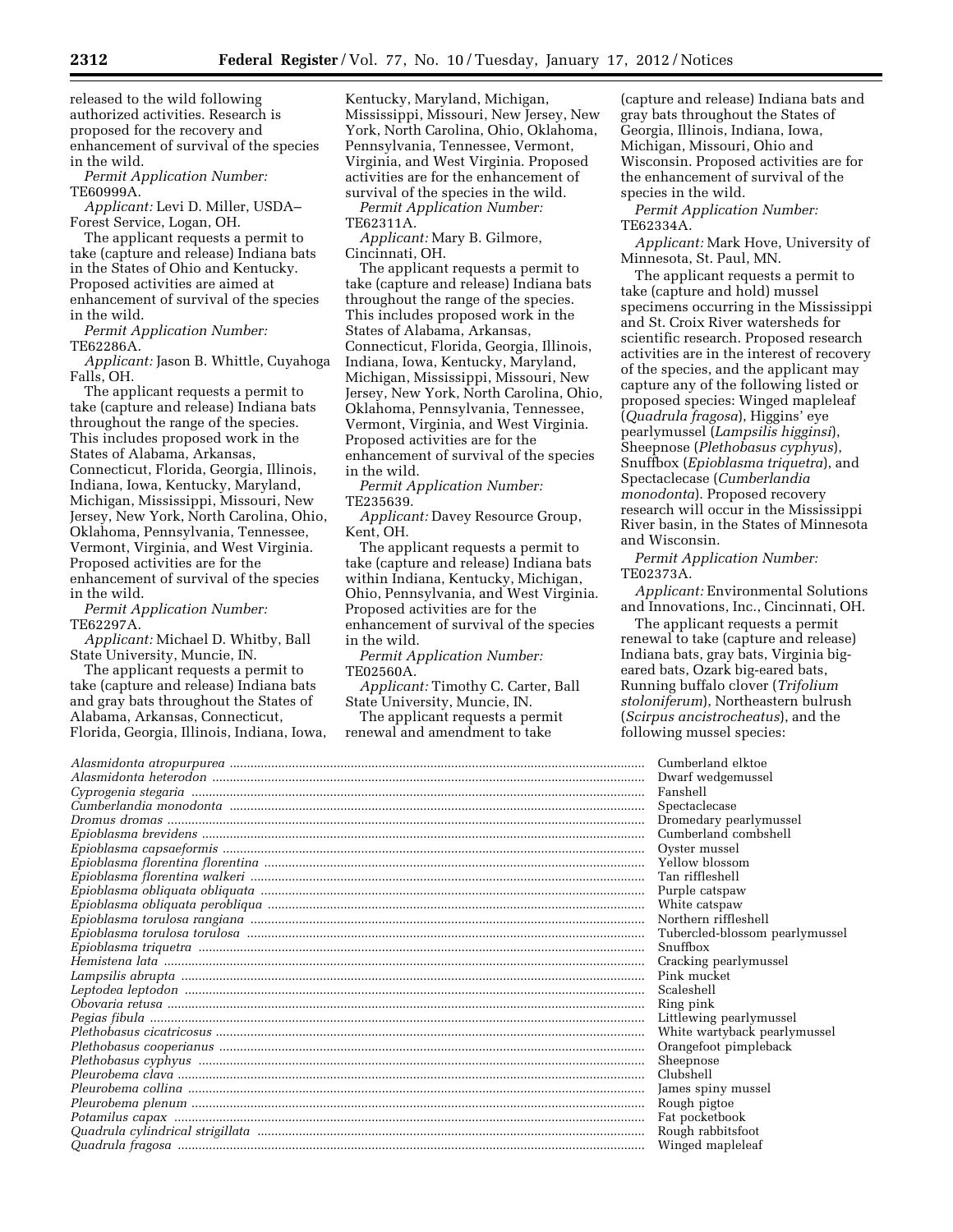released to the wild following authorized activities. Research is proposed for the recovery and enhancement of survival of the species in the wild.

*Permit Application Number:*  TE60999A.

*Applicant:* Levi D. Miller, USDA– Forest Service, Logan, OH.

The applicant requests a permit to take (capture and release) Indiana bats in the States of Ohio and Kentucky. Proposed activities are aimed at enhancement of survival of the species in the wild.

*Permit Application Number:*  TE62286A.

*Applicant:* Jason B. Whittle, Cuyahoga Falls, OH.

The applicant requests a permit to take (capture and release) Indiana bats throughout the range of the species. This includes proposed work in the States of Alabama, Arkansas, Connecticut, Florida, Georgia, Illinois, Indiana, Iowa, Kentucky, Maryland, Michigan, Mississippi, Missouri, New Jersey, New York, North Carolina, Ohio, Oklahoma, Pennsylvania, Tennessee, Vermont, Virginia, and West Virginia. Proposed activities are for the enhancement of survival of the species in the wild.

*Permit Application Number:*  TE62297A.

*Applicant:* Michael D. Whitby, Ball State University, Muncie, IN.

The applicant requests a permit to take (capture and release) Indiana bats and gray bats throughout the States of Alabama, Arkansas, Connecticut, Florida, Georgia, Illinois, Indiana, Iowa, Kentucky, Maryland, Michigan, Mississippi, Missouri, New Jersey, New York, North Carolina, Ohio, Oklahoma, Pennsylvania, Tennessee, Vermont, Virginia, and West Virginia. Proposed activities are for the enhancement of survival of the species in the wild.

*Permit Application Number:*  TE62311A.

*Applicant:* Mary B. Gilmore, Cincinnati, OH.

The applicant requests a permit to take (capture and release) Indiana bats throughout the range of the species. This includes proposed work in the States of Alabama, Arkansas, Connecticut, Florida, Georgia, Illinois, Indiana, Iowa, Kentucky, Maryland, Michigan, Mississippi, Missouri, New Jersey, New York, North Carolina, Ohio, Oklahoma, Pennsylvania, Tennessee, Vermont, Virginia, and West Virginia. Proposed activities are for the enhancement of survival of the species in the wild.

*Permit Application Number:*  TE235639.

*Applicant:* Davey Resource Group, Kent, OH.

The applicant requests a permit to take (capture and release) Indiana bats within Indiana, Kentucky, Michigan, Ohio, Pennsylvania, and West Virginia. Proposed activities are for the enhancement of survival of the species in the wild.

*Permit Application Number:*  TE02560A.

*Applicant:* Timothy C. Carter, Ball State University, Muncie, IN.

The applicant requests a permit renewal and amendment to take

(capture and release) Indiana bats and gray bats throughout the States of Georgia, Illinois, Indiana, Iowa, Michigan, Missouri, Ohio and Wisconsin. Proposed activities are for the enhancement of survival of the species in the wild.

*Permit Application Number:*  TE62334A.

*Applicant:* Mark Hove, University of Minnesota, St. Paul, MN.

The applicant requests a permit to take (capture and hold) mussel specimens occurring in the Mississippi and St. Croix River watersheds for scientific research. Proposed research activities are in the interest of recovery of the species, and the applicant may capture any of the following listed or proposed species: Winged mapleleaf (*Quadrula fragosa*), Higgins' eye pearlymussel (*Lampsilis higginsi*), Sheepnose (*Plethobasus cyphyus*), Snuffbox (*Epioblasma triquetra*), and Spectaclecase (*Cumberlandia monodonta*). Proposed recovery research will occur in the Mississippi River basin, in the States of Minnesota and Wisconsin.

*Permit Application Number:*  TE02373A.

*Applicant:* Environmental Solutions and Innovations, Inc., Cincinnati, OH.

The applicant requests a permit renewal to take (capture and release) Indiana bats, gray bats, Virginia bigeared bats, Ozark big-eared bats, Running buffalo clover (*Trifolium stoloniferum*), Northeastern bulrush (*Scirpus ancistrocheatus*), and the following mussel species:

| Cumberland elktoe              |
|--------------------------------|
| Dwarf wedgemussel              |
| Fanshell                       |
| Spectaclecase                  |
| Dromedary pearlymussel         |
| Cumberland combshell           |
| Oyster mussel                  |
| Yellow blossom                 |
| Tan riffleshell                |
| Purple catspaw                 |
| White catspaw                  |
| Northern riffleshell           |
| Tubercled-blossom pearlymussel |
| Snuffbox                       |
| Cracking pearlymussel          |
| Pink mucket                    |
| Scaleshell                     |
| Ring pink                      |
| Littlewing pearlymussel        |
| White wartyback pearlymussel   |
| Orangefoot pimpleback          |
| Sheepnose                      |
| Clubshell                      |
| James spiny mussel             |
| Rough pigtoe                   |
| Fat pocketbook                 |
| Rough rabbitsfoot              |
|                                |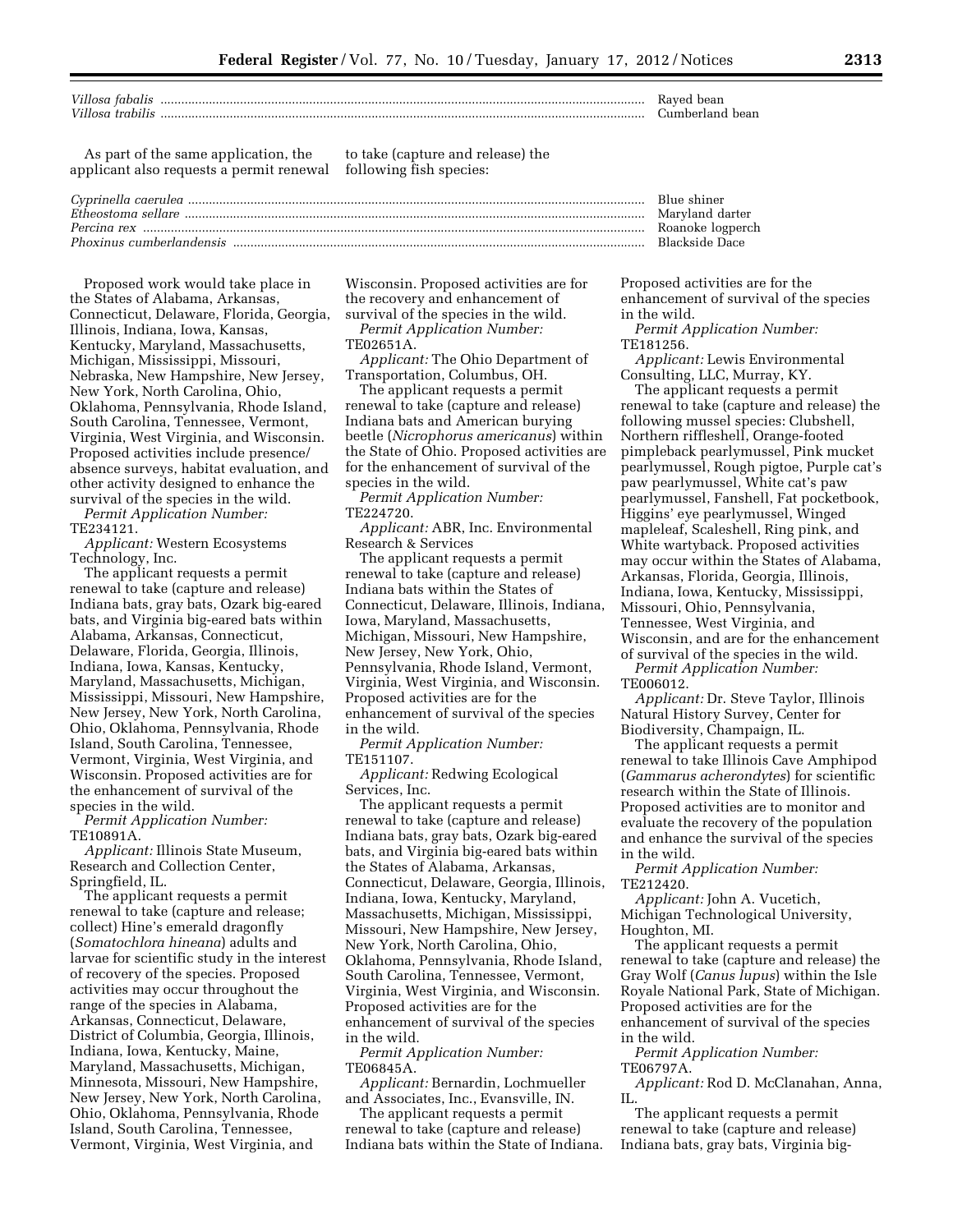| Villosa fabalis  | Raved<br>bean        |
|------------------|----------------------|
| Villosa trabilis | ≒umberland :<br>bean |

As part of the same application, the applicant also requests a permit renewal

to take (capture and release) the following fish species:

Proposed work would take place in the States of Alabama, Arkansas, Connecticut, Delaware, Florida, Georgia, Illinois, Indiana, Iowa, Kansas, Kentucky, Maryland, Massachusetts, Michigan, Mississippi, Missouri, Nebraska, New Hampshire, New Jersey, New York, North Carolina, Ohio, Oklahoma, Pennsylvania, Rhode Island, South Carolina, Tennessee, Vermont, Virginia, West Virginia, and Wisconsin. Proposed activities include presence/ absence surveys, habitat evaluation, and other activity designed to enhance the survival of the species in the wild. *Permit Application Number:* 

TE234121.

*Applicant:* Western Ecosystems Technology, Inc.

The applicant requests a permit renewal to take (capture and release) Indiana bats, gray bats, Ozark big-eared bats, and Virginia big-eared bats within Alabama, Arkansas, Connecticut, Delaware, Florida, Georgia, Illinois, Indiana, Iowa, Kansas, Kentucky, Maryland, Massachusetts, Michigan, Mississippi, Missouri, New Hampshire, New Jersey, New York, North Carolina, Ohio, Oklahoma, Pennsylvania, Rhode Island, South Carolina, Tennessee, Vermont, Virginia, West Virginia, and Wisconsin. Proposed activities are for the enhancement of survival of the species in the wild.

*Permit Application Number:*  TE10891A.

*Applicant:* Illinois State Museum, Research and Collection Center, Springfield, IL.

The applicant requests a permit renewal to take (capture and release; collect) Hine's emerald dragonfly (*Somatochlora hineana*) adults and larvae for scientific study in the interest of recovery of the species. Proposed activities may occur throughout the range of the species in Alabama, Arkansas, Connecticut, Delaware, District of Columbia, Georgia, Illinois, Indiana, Iowa, Kentucky, Maine, Maryland, Massachusetts, Michigan, Minnesota, Missouri, New Hampshire, New Jersey, New York, North Carolina, Ohio, Oklahoma, Pennsylvania, Rhode Island, South Carolina, Tennessee, Vermont, Virginia, West Virginia, and

Wisconsin. Proposed activities are for the recovery and enhancement of

survival of the species in the wild. *Permit Application Number:*  TE02651A.

*Applicant:* The Ohio Department of Transportation, Columbus, OH.

The applicant requests a permit renewal to take (capture and release) Indiana bats and American burying beetle (*Nicrophorus americanus*) within the State of Ohio. Proposed activities are for the enhancement of survival of the species in the wild.

*Permit Application Number:*  TE224720.

*Applicant:* ABR, Inc. Environmental Research & Services

The applicant requests a permit renewal to take (capture and release) Indiana bats within the States of Connecticut, Delaware, Illinois, Indiana, Iowa, Maryland, Massachusetts, Michigan, Missouri, New Hampshire, New Jersey, New York, Ohio, Pennsylvania, Rhode Island, Vermont, Virginia, West Virginia, and Wisconsin. Proposed activities are for the enhancement of survival of the species in the wild.

*Permit Application Number:*  TE151107.

*Applicant:* Redwing Ecological Services, Inc.

The applicant requests a permit renewal to take (capture and release) Indiana bats, gray bats, Ozark big-eared bats, and Virginia big-eared bats within the States of Alabama, Arkansas, Connecticut, Delaware, Georgia, Illinois, Indiana, Iowa, Kentucky, Maryland, Massachusetts, Michigan, Mississippi, Missouri, New Hampshire, New Jersey, New York, North Carolina, Ohio, Oklahoma, Pennsylvania, Rhode Island, South Carolina, Tennessee, Vermont, Virginia, West Virginia, and Wisconsin. Proposed activities are for the enhancement of survival of the species in the wild.

*Permit Application Number:*  TE06845A.

*Applicant:* Bernardin, Lochmueller and Associates, Inc., Evansville, IN.

The applicant requests a permit renewal to take (capture and release) Indiana bats within the State of Indiana. Proposed activities are for the enhancement of survival of the species in the wild.

*Permit Application Number:*  TE181256.

*Applicant:* Lewis Environmental Consulting, LLC, Murray, KY.

The applicant requests a permit renewal to take (capture and release) the following mussel species: Clubshell, Northern riffleshell, Orange-footed pimpleback pearlymussel, Pink mucket pearlymussel, Rough pigtoe, Purple cat's paw pearlymussel, White cat's paw pearlymussel, Fanshell, Fat pocketbook, Higgins' eye pearlymussel, Winged mapleleaf, Scaleshell, Ring pink, and White wartyback. Proposed activities may occur within the States of Alabama, Arkansas, Florida, Georgia, Illinois, Indiana, Iowa, Kentucky, Mississippi, Missouri, Ohio, Pennsylvania, Tennessee, West Virginia, and Wisconsin, and are for the enhancement of survival of the species in the wild.

*Permit Application Number:*  TE006012.

*Applicant:* Dr. Steve Taylor, Illinois Natural History Survey, Center for Biodiversity, Champaign, IL.

The applicant requests a permit renewal to take Illinois Cave Amphipod (*Gammarus acherondytes*) for scientific research within the State of Illinois. Proposed activities are to monitor and evaluate the recovery of the population and enhance the survival of the species in the wild.

*Permit Application Number:*  TE212420.

*Applicant:* John A. Vucetich, Michigan Technological University, Houghton, MI.

The applicant requests a permit renewal to take (capture and release) the Gray Wolf (*Canus lupus*) within the Isle Royale National Park, State of Michigan. Proposed activities are for the enhancement of survival of the species in the wild.

*Permit Application Number:*  TE06797A.

*Applicant:* Rod D. McClanahan, Anna, IL.

The applicant requests a permit renewal to take (capture and release) Indiana bats, gray bats, Virginia big